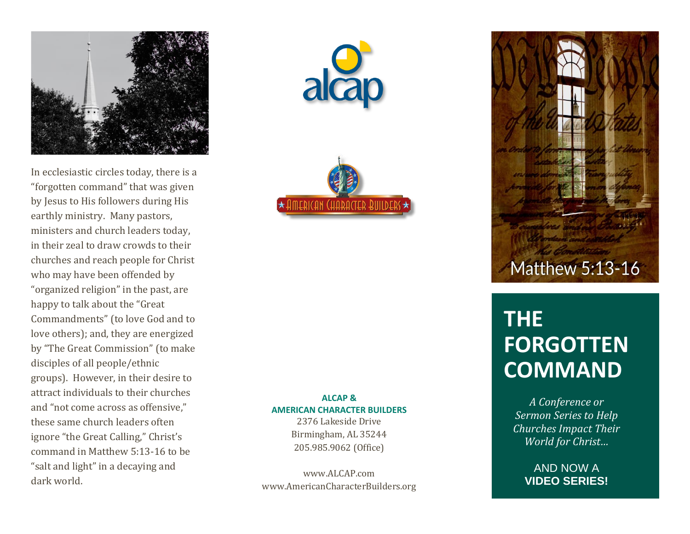

In ecclesiastic circles today , there is a "forgotten command" that was given by Jesus to His followers during His earthly ministry. Many pastors, ministers and church leaders today, in their zeal to draw crowds to their churches and reach people for Christ who may have been offended by "organized religion" in the past, are happy to talk about the "Great Commandments" (to love God and to love others); and, they are energized by "The Great Commission" (to make disciples of all people/ethnic groups). However, in their desire to attract individuals to their churches and "not come across as offensive," these same church leaders often ignore "the Great Calling," Christ's command in Matthew 5:13 -16 to be "salt and light" in a decaying and dark world.





**ALCAP & AMERICAN CHARACTER BUILDERS**

2376 Lakeside Drive Birmingham, AL 35244 205.985.9062 (Office)

www.ALCAP.com www.AmericanCharacterBuilders.org



# **THE FORGOTTEN COMMAND**

*A Conference or Sermon Series to Help Churches Impact Their World for Christ…*

> AND NOW A **VIDEO SERIES!**